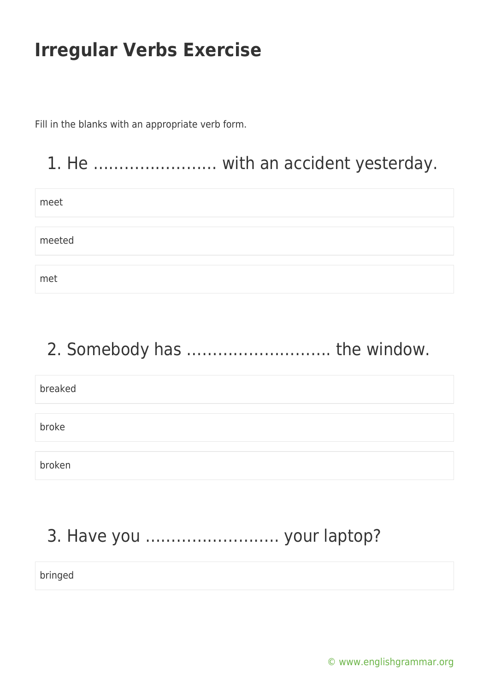Fill in the blanks with an appropriate verb form.

#### 1. He …………………… with an accident yesterday.

| meet   |  |
|--------|--|
|        |  |
|        |  |
| meeted |  |
|        |  |
|        |  |
| met    |  |

# 2. Somebody has ………………………. the window.

| breaked |  |
|---------|--|
|         |  |
| broke   |  |
|         |  |
| broken  |  |

# 3. Have you …………………….. your laptop?

bringed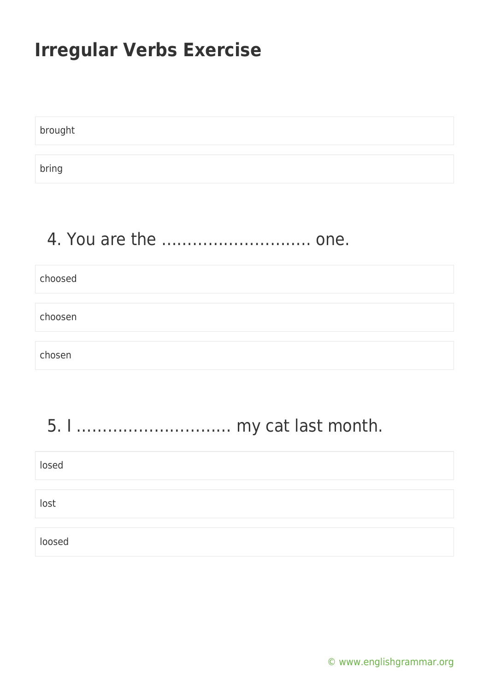brought bring

## 4. You are the ……………………….. one.

choosed choosen chosen

#### 5. I ………………………… my cat last month.

| losed  |  |  |
|--------|--|--|
|        |  |  |
| lost   |  |  |
|        |  |  |
| loosed |  |  |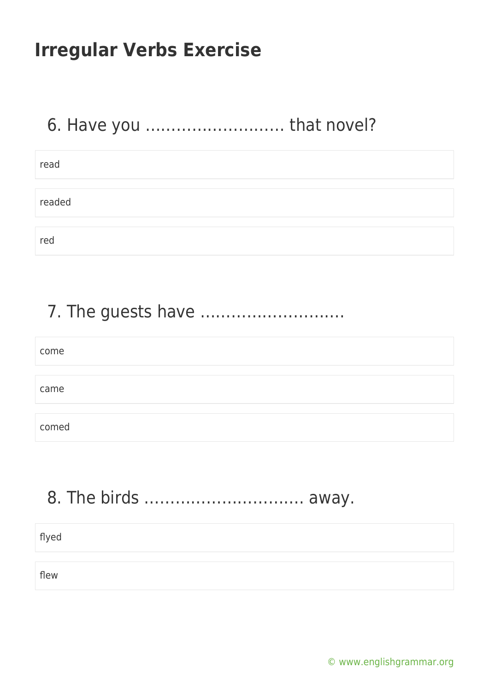## 6. Have you ……………………… that novel?

| read   |  |  |  |
|--------|--|--|--|
|        |  |  |  |
| readed |  |  |  |
|        |  |  |  |
| red    |  |  |  |

#### 7. The guests have ……………………….

| come  |  |
|-------|--|
|       |  |
| came  |  |
|       |  |
| comed |  |

#### 8. The birds …………………………. away.

| flyed |  |
|-------|--|
| flew  |  |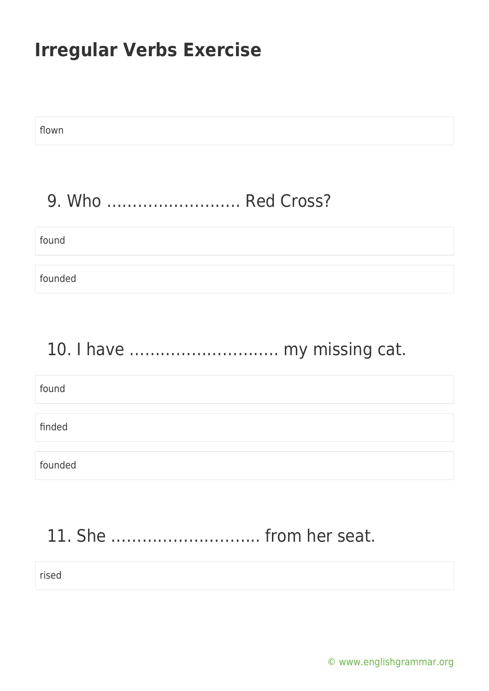flown

#### 9. Who …………………….. Red Cross?

| found   |  |  |
|---------|--|--|
| founded |  |  |

#### 10. I have ……………………….. my missing cat.

| found   |  |  |
|---------|--|--|
|         |  |  |
| finded  |  |  |
|         |  |  |
| founded |  |  |

# 11. She ……………………….. from her seat.

rised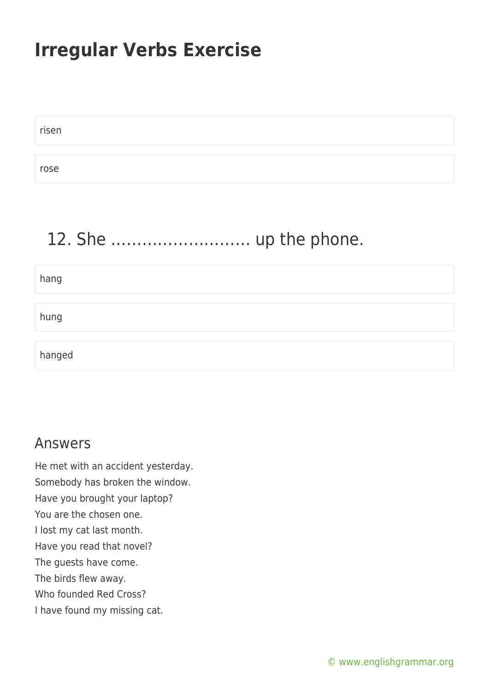risen rose

#### 12. She ……………………… up the phone.

hang hung hanged

#### Answers

He met with an accident yesterday. Somebody has broken the window. Have you brought your laptop? You are the chosen one. I lost my cat last month. Have you read that novel? The guests have come. The birds flew away. Who founded Red Cross? I have found my missing cat.